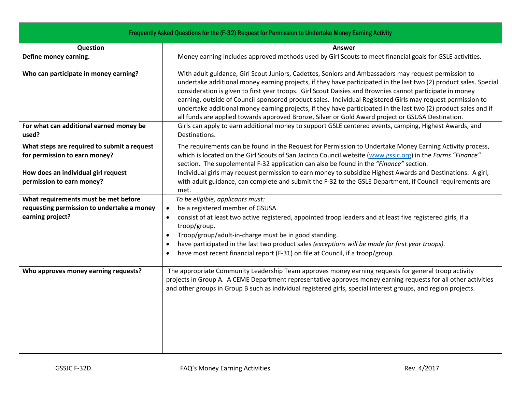| Frequently Asked Questions for the (F-32) Request for Permission to Undertake Money Earning Activity |                                                                                                                                                                                                                                                                                                                                                                                                                                                                                                                                                                                                                                                                             |
|------------------------------------------------------------------------------------------------------|-----------------------------------------------------------------------------------------------------------------------------------------------------------------------------------------------------------------------------------------------------------------------------------------------------------------------------------------------------------------------------------------------------------------------------------------------------------------------------------------------------------------------------------------------------------------------------------------------------------------------------------------------------------------------------|
| Question                                                                                             | Answer                                                                                                                                                                                                                                                                                                                                                                                                                                                                                                                                                                                                                                                                      |
| Define money earning.                                                                                | Money earning includes approved methods used by Girl Scouts to meet financial goals for GSLE activities.                                                                                                                                                                                                                                                                                                                                                                                                                                                                                                                                                                    |
| Who can participate in money earning?                                                                | With adult guidance, Girl Scout Juniors, Cadettes, Seniors and Ambassadors may request permission to<br>undertake additional money earning projects, if they have participated in the last two (2) product sales. Special<br>consideration is given to first year troops. Girl Scout Daisies and Brownies cannot participate in money<br>earning, outside of Council-sponsored product sales. Individual Registered Girls may request permission to<br>undertake additional money earning projects, if they have participated in the last two (2) product sales and if<br>all funds are applied towards approved Bronze, Silver or Gold Award project or GSUSA Destination. |
| For what can additional earned money be<br>used?                                                     | Girls can apply to earn additional money to support GSLE centered events, camping, Highest Awards, and<br>Destinations.                                                                                                                                                                                                                                                                                                                                                                                                                                                                                                                                                     |
| What steps are required to submit a request<br>for permission to earn money?                         | The requirements can be found in the Request for Permission to Undertake Money Earning Activity process,<br>which is located on the Girl Scouts of San Jacinto Council website (www.gssjc.org) in the Forms "Finance"<br>section. The supplemental F-32 application can also be found in the "Finance" section.                                                                                                                                                                                                                                                                                                                                                             |
| How does an individual girl request                                                                  | Individual girls may request permission to earn money to subsidize Highest Awards and Destinations. A girl,                                                                                                                                                                                                                                                                                                                                                                                                                                                                                                                                                                 |
| permission to earn money?                                                                            | with adult guidance, can complete and submit the F-32 to the GSLE Department, if Council requirements are<br>met.                                                                                                                                                                                                                                                                                                                                                                                                                                                                                                                                                           |
| What requirements must be met before                                                                 | To be eligible, applicants must:                                                                                                                                                                                                                                                                                                                                                                                                                                                                                                                                                                                                                                            |
| requesting permission to undertake a money                                                           | be a registered member of GSUSA.<br>$\bullet$                                                                                                                                                                                                                                                                                                                                                                                                                                                                                                                                                                                                                               |
| earning project?                                                                                     | consist of at least two active registered, appointed troop leaders and at least five registered girls, if a<br>troop/group.                                                                                                                                                                                                                                                                                                                                                                                                                                                                                                                                                 |
|                                                                                                      | Troop/group/adult-in-charge must be in good standing.<br>$\bullet$                                                                                                                                                                                                                                                                                                                                                                                                                                                                                                                                                                                                          |
|                                                                                                      | have participated in the last two product sales (exceptions will be made for first year troops).<br>$\bullet$                                                                                                                                                                                                                                                                                                                                                                                                                                                                                                                                                               |
|                                                                                                      | have most recent financial report (F-31) on file at Council, if a troop/group.<br>$\bullet$                                                                                                                                                                                                                                                                                                                                                                                                                                                                                                                                                                                 |
| Who approves money earning requests?                                                                 | The appropriate Community Leadership Team approves money earning requests for general troop activity<br>projects in Group A. A CEME Department representative approves money earning requests for all other activities<br>and other groups in Group B such as individual registered girls, special interest groups, and region projects.                                                                                                                                                                                                                                                                                                                                    |